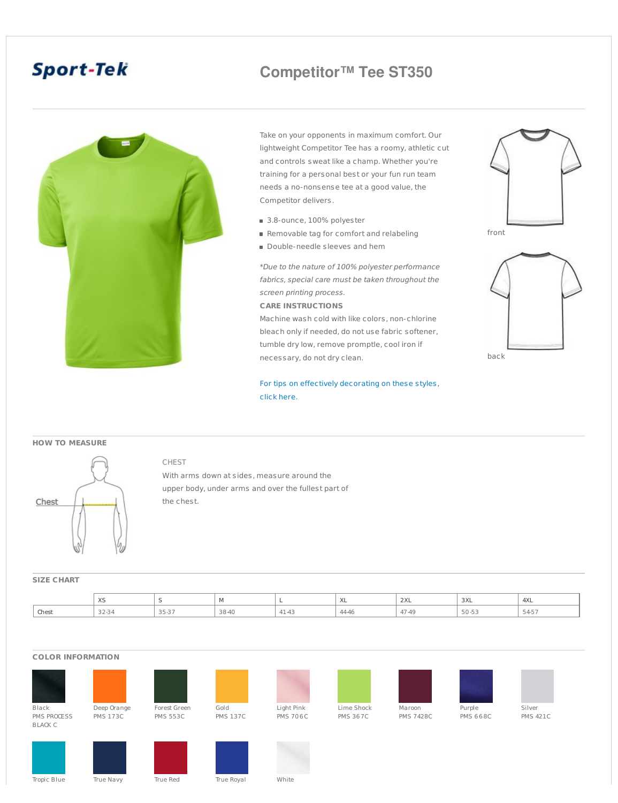# **Sport-Tek**

## **Competitor™ Tee ST350**



Take on your opponents in maximum comfort. Our lightweight Competitor Tee has a roomy, athletic cut and controls sweat like a champ. Whether you're training for a personal best or your fun run team needs a no-nonsense tee at a good value, the Competitor delivers.

- 3.8-ounce, 100% polyester
- Removable tag for comfort and relabeling
- Double-needle sleeves and hem

\*Due to the nature of 100% polyester performance fabrics, special care must be taken throughout the screen printing process.

#### **CARE INSTRUCTIONS**

Machine wash cold with like colors, non-chlorine bleach only if needed, do not use fabric softener, tumble dry low, remove promptle, cool iron if necessary, do not dry clean.

For tips on effectively [decorating](http://admin.sanmar.com/docs/downloads/TipsforEffectivelyDecoratingCompetitor.doc) on these styles, click here.



front



#### **HOW TO MEASURE**



### CHEST

With arms down at sides, measure around the upper body, under arms and over the fullest part of the chest.

#### **SIZE CHART**

|       | $\cdots$<br>∧⊐ |                                                    | M     | -                    | $\lambda$      | $\sim$<br><b>LAL</b>                   | 3XL           | 4XL           |
|-------|----------------|----------------------------------------------------|-------|----------------------|----------------|----------------------------------------|---------------|---------------|
| Chest | 32-34          | $\mathcal{L} = \mathcal{L} = \mathcal{L}$<br>33-37 | 38-40 | $A^{\prime}$<br>4143 | $\sim$<br>4440 | $\overline{\phantom{a}}$<br>$-49$<br>. | $ -$<br>コロ-ココ | $  -$<br>545. |

#### **COLOR INFORMATION**





















PMS 421C

Black PMS PROCESS BLACK C

Deep Orange PMS 173C

PMS 553C

Gold PMS 137C

PMS 706C

Lime Shock PMS 367C

PMS 7428C

Purple PMS 668C



Tropic Blue True Navy True Red True Royal White